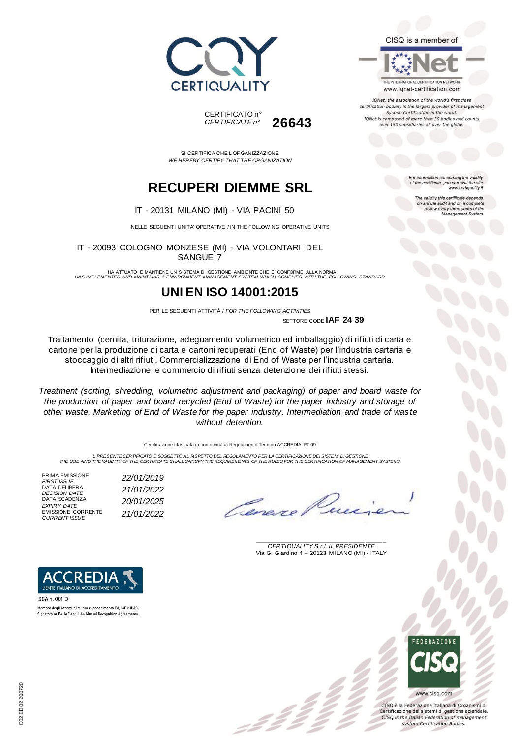



SI CERTIFICA CHE L'ORGANIZZAZIONE *WE HEREBY CERTIFY THAT THE ORGANIZATION*

## **RECUPERI DIEMME SRL**

IT - 20131 MILANO (MI) - VIA PACINI 50

NELLE SEGUENTI UNITA' OPERATIVE / IN THE FOLLOWING OPERATIVE UNITS

IT - 20093 COLOGNO MONZESE (MI) - VIA VOLONTARI DEL SANGUE 7

HA ATTUATO E MANTIENE UN SISTEMA DI GESTIONE AMBIENTE CHE E' CONFORME ALLA NORMA *HAS IMPLEMENTED AND MAINTAINS A ENVIRONMENT MANAGEMENT SYSTEM WHICH COMPLIES WITH THE FOLLOWING STANDARD*

### **UNI EN ISO 14001:2015**

PER LE SEGUENTI ATTIVITÀ / *FOR THE FOLLOWING ACTIVITIES* SETTORE CODE **IAF 24 39**

Trattamento (cernita, triturazione, adeguamento volumetrico ed imballaggio) di rifiuti di carta e cartone per la produzione di carta e cartoni recuperati (End of Waste) per l'industria cartaria e stoccaggio di altri rifiuti. Commercializzazione di End of Waste per l'industria cartaria. Intermediazione e commercio di rifiuti senza detenzione dei rifiuti stessi.

*Treatment (sorting, shredding, volumetric adjustment and packaging) of paper and board waste for the production of paper and board recycled (End of Waste) for the paper industry and storage of other waste. Marketing of End of Waste for the paper industry. Intermediation and trade of was te without detention.*

Certificazione rilasciata in conformità al Regolamento Tecnico ACCREDIA RT 09

*IL PRESENTE CERTIFICATO È SOGGETTO AL RISPETTO DEL REGOLAMENTO PER LA CERTIFICAZIONE DEI SISTEMI DI GESTIONE THE USE AND THE VALIDITY OF THE CERTIFICATE SHALL SATISFY THE REQUIREMENTS OF THE RULES FOR THE CERTIFICATION OF MANAGEMENT SYSTEMS*

PRIMA EMISSIONE *FIRST ISSUE 22/01/2019* DATA DELIBERA *DECISION DATE 21/01/2022* DATA SCADENZA *EXPIRY DATE 20/01/2025* EMISSIONE CORRENTE *CURRENT ISSUE 21/01/2022*

L'ENTE ITALIANO DI ACCREDITAMENTO

Membro degli Accordi di Mutuo riconoscimento EA, IAF e ILAC Signatory of EA, IAF and ILAC Mutual Recognition Agreements

SGA n. 001 D

Cene.

\_\_\_\_\_\_\_\_\_\_\_\_\_\_\_\_\_\_\_\_\_\_\_\_\_\_\_\_\_\_\_\_\_\_\_\_\_\_\_ *CERTIQUALITY S.r.l. IL PRESIDENTE* Via G. Giardino 4 – 20123 MILANO (MI) - ITALY



CISO è la Federazione Italiana di Organismi di Certificazione dei sistemi di gestione aziendale. CISQ is the Italian Federation of management system Certification Bodies.



THE INTERNATIONAL CERTIFICATION NETWORK www.iqnet-certification.com

IQNet, the association of the world's first class certification bodies, is the largest provider of managen System Certification in the world. IQNet is composed of more than 30 bodies and counts over 150 subsidiaries all over the globe.

> For information concerning the validity<br>of the certificate, you can visit the site www.certiquality.it

> > The validity this certificate depends on annual audit and on a complete<br>review every three years of the<br>Management System.